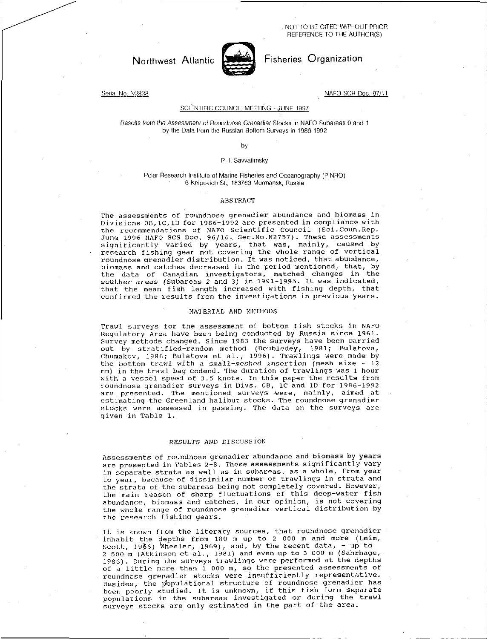NOT TO BE CITED WITHOUT PRIOR REFERENCE TO THE AUTHOR(S)



# Northwest Atlantic Fisheries Organization

Serial No. N2838 NAFO SCR Doc. 97/11

### SCIENTIFIC COUNCIL MEETING - JUNE 1997

Results from the *Assessment of Roundrose* Grenadier Stocks in NAFO Subareas 0 and 1 by the Data horn the Russian Bottom Surveys in 1986-1992

by

## P. I. Savvatimsky

#### Polar Research Institute of Marine Fisheries and Oceanography (PINRO) 6 Knipovich St., 183763 Murmansk, Russia

#### ABSTRACT

The assessments of roundnose grenadier abundance and biomass in Divisions 0B,1C,1D for 1986-1992 are presented in compliance with the recommendations of NAFO Scientific Council (Sci.Coun.Rep. June 1996 NAFO SCS Doc. 96/16. Ser.No.N2757). These assessments significantly varied by years, that was, mainly, caused by research fishing gear not covering the whole range of vertical roundnose grenadier distribution. It was noticed, that abundance, biomass and catches decreased in the period mentioned, that, by the data of Canadian investigators, matched changes in the souther *areas* (Subareas 2 and 3) in 1991-1995. It was indicated, that the mean fish length increased with fishing depth, that confirmed the results from the investigations in previous years.

### MATERIAL AND METHODS

Trawl surveys for the assessment of bottom fish stocks in NAFO Regulatory Area have been being conducted by Russia since 1961. Survey methods changed. Since 1983 the surveys have been carried out by stratified-random method (Doubledey, 1981; Bulatova, Chumakov, 1986; Bulatova et al., 1996). Trawlings were made by the bottom trawl with a small-meshed insertion (mesh size -  $12$ mm) in the trawl bag codend. The duration of trawlings was 1 hour with a vessel speed of 3.5 knots. In this paper the results from roundnose grenadier surveys in Divs. 08, 1C and 10 for 1986-1992 are presented. The mentioned surveys were, mainly, aimed at estimating the Greenland halibut stocks. The roundnose grenadier stocks were assessed in passing. The data on the surveys are given in Table 1.

## RESULTS AND DISCUSSION

Assessments of roundnose grenadier abundance and biomass by years are presented in Tables 2-8. These assessments significantly vary in separate strata as well as in subareas, as a whole, from year to year, because of dissimilar number of trawlings in strata and the strata of the subareas being not completely covered. However, the main reason of sharp fluctuations of this deep-water fish abundance, biomass and catches, in our opinion, is not covering the whole range of roundnose grenadier vertical distribution by the research fishing gears.

It is known from the literary sources, that roundnose grenadier inhabit the depths from 180 m up to 2 000 m and more (Leim, Scott, 1966; Wheeler, 1969), and, by the recent data, - up to 2 500 m (Atkinson et al., 1981) and even up to 3 000 m (Sahrhage, 1986). During the surveys trawlings were performed at the depths of a little more than 1 000 m, so the presented assessments of roundnose grenadier stocks were insufficiently representative. Besides, the populational structure of roundnose grenadier has been poorly studied. It is unknown, if this fish form separate populations in the subareas investigated or during the trawl surveys stocks are only estimated in the part of the area.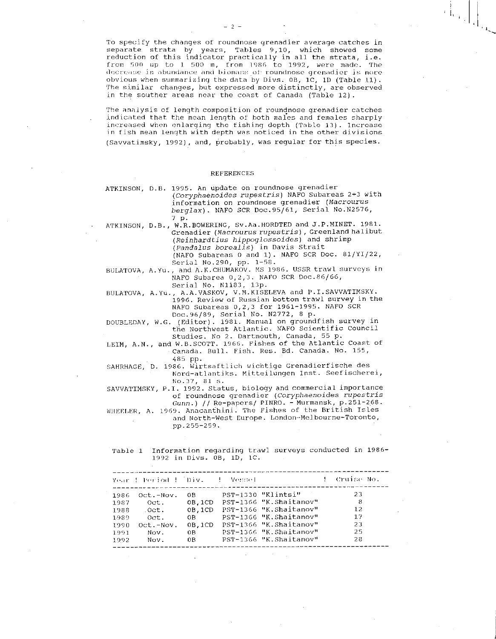To specify the changes of roundnose grenadier average catches in separate strata by years, Tables 9,10, which showed some reduction of this indicator practically in all the strata, i-e. from 500 up to ] 500 m, from 1986 to 1992, were made. The decrease in abundance and biomass of roundnose grenadier is more obvious when summarizing the data by Divs. OB, 1C, 1D (Table 11). The similar changes, but expressed more distinctly, are observed in the souther areas near the coast of Canada (Table 12).

The analysis of length composition of roundnose grenadier catches indicated that the mean length of both males and females sharply increased when enlarging the fishing depth (Table 13). Increase in fish mean length with depth was noticed in the other divisions (Savvatimsky, 1992), and, probably, was regular for this species.

#### REFERENCES

|  | ATKINSON, D.B. 1995. An update on roundnose grenadier |
|--|-------------------------------------------------------|
|  | (Coryphaenoides rupestris) NAFO Subareas 2+3 with     |
|  | information on roundnose grenadier (Macrourus         |
|  | berglax). NAFO SCR Doc.95/61, Serial No.N2576,        |
|  | 7 p.                                                  |

7 p.<br>ATKINSON, D.B., W.R.BOWERING, Sv.Aa.HORDTED and J.P.MINET. 1981. Grenadier *(Macrourus rupestris),* Greenland halibut *(Reinhardtius hippoglossoides)* and shrimp *(Pandalus borealis)* in Davis Strait (NAFO Subareas 0 and 1). NAFO SCR Doc. 81/YI/22,

Serial No.290, pp. 1-58.

BULATOVA, A.Yu., and A.K.CHUMAKOV. MS 1986. USSR trawl surveys in NAFO Subarea 0,2,3. NAFO SCR Doc.86/66, Serial No. N1183, 13p.

BULATOVA, A.Yu., A.A.VASKOV, V.M.KISELEVA and P.I.SAVVATIMSKY. 1996. Review of Russian bottom trawl survey in the NAFO Subareas 0,2,3 for 1961-1995. NAFO SCR Doc.96/89, Serial No. N2772, 8 p.

DOUBLEDAY, W.G. (Editor). 1981. Manual on groundfish survey in the Northwest Atlantic. NAFO Scientific Council Studies. No 2. Dartmouth, Canada, 55 p.

LEIM, A.N., and W.B.SCOTT. 1966. Fishes of the Atlantic Coast of Canada. Bull. Fish. Res. Bd. Canada. No. 155, 485 pp.

SAHRHAGE, D. 1986. Wirtsaftlich wichtige Grenadierfische des Nord-atlantiks. Mitteilungen Inst. Seefischerei, No.37, 81 s.

SAVVATIMSKY, P.I. 1992. Status, biology and commercial importance of roundnose grenadier *(Coryphaenoides rupestris Gunn.*) // Re-papers/ PINRO. - Murmansk, p.251-268.

WHEELER, A. 1969. Anacanthini. The Fishes of the British Isles and North-West Europe. London-Melbourne-Toronto, pp.255-259.

Table 1 Information regarding trawl surveys conducted in 1986- 1992 in Divs. 08, 1D, 10.

|      | Year ! Period ! [Div. ] = Vessel |              |                        | ! Cruise No. |
|------|----------------------------------|--------------|------------------------|--------------|
| 1986 | Oct.-Nov.                        | OB           | PST-1330 "Klintsi"     | 23           |
| 1987 | Oct.                             | 0B, 1CD      | PST-1366 "K.Shaitanov" | -8           |
| 1988 | Oct.                             | $0B$ , $1CD$ | PST-1366 "K.Shaitanov" | 12           |
| 1989 | Oct.                             | 0B.          | PST-1366 "K.Shaitanov" | 1.7          |
| 1990 | $Oct.-Nov.$                      | $0B$ , $1CD$ | PST-1366 "K.Shaitanov" | 23           |
| 1991 | Nov.                             | OB.          | PST-1366 "K.Shaitanov" | 25           |
| 1992 | Nov.                             | 0B           | PST-1366 "K.Shaitanov" | 28           |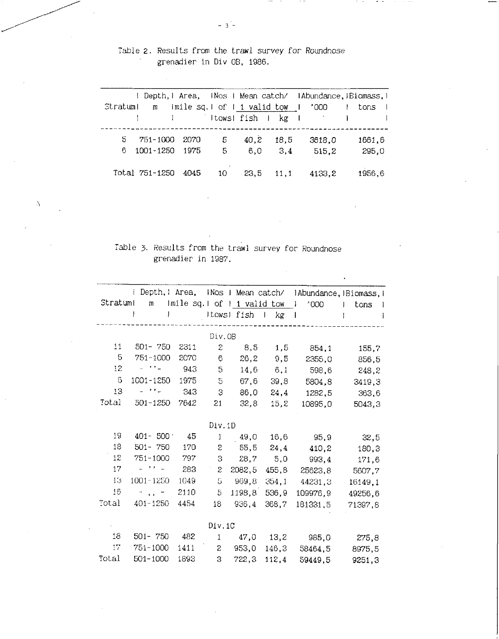Table 2. Results from the trawl survey for Roundnose grenadier in Div OB, 1986.

 $\sim$   $-$ 

|                  |                                 |            |                 |        | I Depth, I Area, INos I Mean catch/ IAbundance, IBiomass, I |
|------------------|---------------------------------|------------|-----------------|--------|-------------------------------------------------------------|
| Stratuml         | m imile sq.l of 1 1 valid tow I |            |                 | -1000  | tons                                                        |
|                  |                                 |            |                 |        |                                                             |
| 5 751-1000       | -2070                           | 40.2<br>5. | 18.5            | 3618.0 | 1661.6                                                      |
| 6 1001-1250 1975 |                                 | $5 -$      | $6.0\qquad 3.4$ | 515.2  | 295,0                                                       |
| Total 751-1250   | 4045<br>10                      |            | $23.5$ 11.1     | 4133.2 | 1956.6                                                      |

# Table 3. Results from the trawl survey for Roundnose grenadier. in 1987.

 $\lambda$ 

|          |              |                             | Depth, Mrea,<br>INos I Mean catch/<br>IAbundance, IBiomass, I |        |               |           |            |  |  |  |  |  |  |
|----------|--------------|-----------------------------|---------------------------------------------------------------|--------|---------------|-----------|------------|--|--|--|--|--|--|
| Stratuml | $\mathbf{m}$ | Imile sq.1 of 1 1 valid tow |                                                               |        |               | '000<br>T | tons<br>ł. |  |  |  |  |  |  |
|          | J            |                             | Itows! fish                                                   |        | kg<br>$\perp$ |           |            |  |  |  |  |  |  |
|          |              |                             | Div.OB                                                        |        |               |           |            |  |  |  |  |  |  |
| 11       | $501 - 750$  | 2311                        | $\mathbf{S}$                                                  | 8,5    | 1,5           | 854,1     | 155,7      |  |  |  |  |  |  |
| 5        | 751-1000     | 2070                        | 6                                                             | 26,2   | 9,5           | 2355,0    | 856,5      |  |  |  |  |  |  |
| 12       | $-111 - 121$ | 943                         | 5                                                             | 14,6   | 6,1           | 598.6     | 248,2      |  |  |  |  |  |  |
| 6        | 1001-1250    | 1975                        | 5                                                             | 67,6   | 39,8          | 5804,8    | 3419,3     |  |  |  |  |  |  |
| 13       | - 11 -       | 343                         | 3                                                             | 86,0   | 24.4          | 1282.5    | 363,6      |  |  |  |  |  |  |
| Total    | 501-1250     | 7642                        | 21                                                            | 32, 8  | 15,2          | 10895,0   | 5043,3     |  |  |  |  |  |  |
|          |              |                             |                                                               |        |               |           |            |  |  |  |  |  |  |
|          |              |                             | Div.1D                                                        |        |               |           |            |  |  |  |  |  |  |
| 19       | $401 - 500$  | 45                          | $\mathbf{1}$                                                  | 49,0   | 16,6          | 95,9      | 32,5       |  |  |  |  |  |  |
| 18       | $501 - 750$  | 170                         | S.                                                            | 55,5   | 24,4          | 410,2     | 180,3      |  |  |  |  |  |  |
| 12       | $751 - 1000$ | 797                         | 3                                                             | 28,7   | 5,0           | 993,4     | 171,6      |  |  |  |  |  |  |
| 17       | コンティー        | 283                         | S.                                                            | 2082,5 | 455,8         | 25623,8   | 5607,7     |  |  |  |  |  |  |
| 13       | 1001-1250    | 1049                        | 5                                                             | 969,8  | 354,1         | 44231,3   | 16149,1    |  |  |  |  |  |  |
| 16       | $5.5 -$      | 2110                        | 5                                                             | 1198.8 | 536,9         | 109976.9  | 49256,6    |  |  |  |  |  |  |
| Total    | 401-1250     | 4454                        | 18                                                            | 936,4  | 368,7         | 181331.5  | 71397,8    |  |  |  |  |  |  |
|          |              |                             |                                                               |        |               |           |            |  |  |  |  |  |  |
|          |              |                             | Div.1C                                                        |        |               |           |            |  |  |  |  |  |  |
| 18       | $501 - 750$  | 482                         | 1                                                             | 47,0   | 13,2          | 985,0     | 275,8      |  |  |  |  |  |  |
| 17       | 751-1000     | 1411                        | $\mathbf{c}$                                                  | 953,0  | 146,3         | 58464.5   | 8975,5     |  |  |  |  |  |  |
| Total    | 501-1000     | 1893                        | 3                                                             | 722,3  | 112,4         | 59449.5   | 9251,3     |  |  |  |  |  |  |

 $-3-$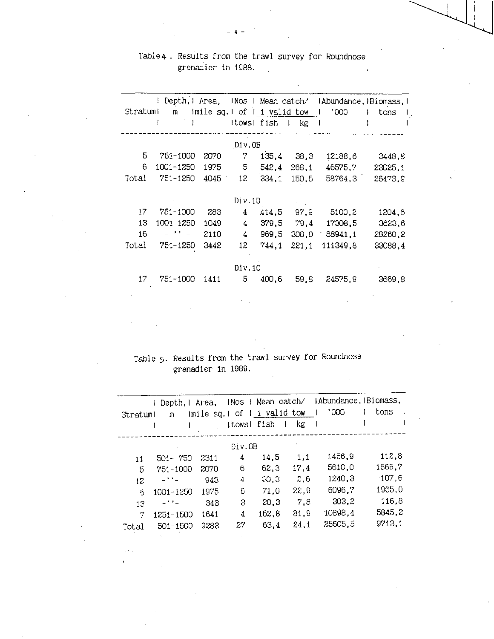|                    |  |  | Table4 . Results from the trawl survey for Roundnose |  |
|--------------------|--|--|------------------------------------------------------|--|
| grenadier in 1988. |  |  |                                                      |  |

 $-4$   $-$ 

|          | ! Depth, I Area, |                                |             | INos I Mean catch/ |                     |                   | IAbundance, Biomass, I |
|----------|------------------|--------------------------------|-------------|--------------------|---------------------|-------------------|------------------------|
| Stratuml |                  | m imile sq. 1 of 1 1 valid tow |             |                    |                     | $000^{\circ}$     | tons                   |
|          | $\mathcal{L}$    |                                | ItowsI fish |                    | $k$ g<br>$\sim 1$ . |                   |                        |
|          |                  |                                |             |                    |                     |                   |                        |
|          |                  |                                | Div.OB      |                    |                     |                   |                        |
| 5        | 751-1000         | 2070                           | 7           | 135,4              | - 38,3              | 12188,6           | 3448,8                 |
| 6        | 1001-1250        | 1975                           | 5           | 542,4              | 268,1               | 46575,7           | 23025,1                |
| Total    | 751-1250         | 4045                           | 12          | 334.1              | 150,5               | 58764,3           | 26473,9                |
|          |                  |                                |             |                    |                     |                   |                        |
|          |                  |                                | Div.1D      |                    |                     |                   |                        |
| 17       | 751-1000         | 283                            | 4           | 414,5              | 97,9                | 5100,2            | 1204,6                 |
| 13       | 1001-1250        | $-1049$                        | 4           | 379.5              | 79,4                | 17308.5           | 3623,6                 |
| 16       | $ \cdot$ $-$     | 2110                           | 4           | 969,5              |                     | $308,0$ $88941,1$ | 28260,2                |
| Total    | 751-1250         | 3442                           | 12          | 744.1              | 221,1               | 111349.8          | 33088,4                |
|          |                  |                                |             |                    |                     |                   |                        |
|          |                  |                                | Div.1C      |                    |                     |                   |                        |
| 17       | 751-1000         | 1411                           | 5           | 400.6              | 59.8                | 24575,9           | 3669,8                 |
|          |                  |                                |             |                    |                     |                   |                        |

Table 5. Results from the trawl survey for Roundnose grenadier in 1989.

 $\mathbb{R}^2$ 

| Stratuml | Depth, I<br>m | Area, |             | iNos   Mean catch/<br>imile sq.1 of 1 1 valid tow |      | 1000    | IAbundance, IBiomass, I<br>tons |
|----------|---------------|-------|-------------|---------------------------------------------------|------|---------|---------------------------------|
|          |               |       | Itows! fish | T                                                 | kg   |         |                                 |
|          |               |       |             |                                                   |      |         |                                 |
|          |               |       | Div.OB      |                                                   |      |         |                                 |
| 11       | $501 - 750$   | 2311  | 4           | 14,5                                              | 1.1  | 1456,9  | 112.8                           |
| 5        | 751-1000      | 2070  | 6           | 62.3                                              | 17.4 | 5610,0  | 1565.7                          |
| 12       | -**-          | 943   | 4           | 30,3                                              | 2.6  | 1240,3  | 107,6                           |
| 6        | 1001-1250     | 1975  | 6           | 71,0                                              | 22.9 | 6096,7  | 1965.0                          |
| 1.3      | コナナニ          | 343   | 3           | 20,3                                              | 7.8  | 303, 2  | 116.8                           |
| 71       | 1251-1500     | 1641  | 4           | 152,8                                             | 81.9 | 10898,4 | 5845,2                          |
| Total    | $501 - 1500$  | 9283  | 27          | 63.4                                              | 24,1 | 25605.5 | 9713,1                          |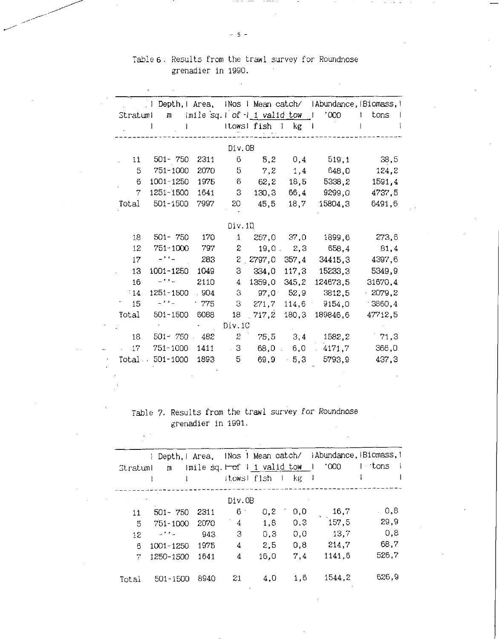## Table 6. Results from the trawl survey for Roundnose grenadier in 1990.  $\sim$

 $\overline{\phantom{a}}$ 

|          | Depth, Area,<br>$\pm$ 1 |      |               |                             |              |           | INos I Mean catch/ IAbundance, IBiomass, I |
|----------|-------------------------|------|---------------|-----------------------------|--------------|-----------|--------------------------------------------|
| Stratuml | m                       |      |               | imile sq.1 of 1 1 valid tow |              | 1000<br>J | tons<br>ı.                                 |
|          |                         |      |               | Itows! fish I               | $k$ g        | f         |                                            |
|          |                         |      | Div.OB        |                             |              |           |                                            |
| 11       | 501-750                 | 2311 | 6             | 5,2                         | 0,4          | 519,1     | 38,5                                       |
| 5        | 751-1000                | 2070 | 5             | 7,2                         | 1,4          | 648,0     | 124.2                                      |
| 6        | 1001-1250               | 1975 | 6             | 62, 2                       | 18,5         | 5338,2    | 1591,4                                     |
| 7        | 1251-1500               | 1641 | З             | 130,3                       | 66,4         | 9299,0    | 4737,5                                     |
| Total    | $501 - 1500$            | 7997 | 20            | 45,5                        | 18,7         | 15804.3   | 6491,6                                     |
|          |                         |      |               |                             |              |           |                                            |
|          |                         |      | Div.1D        |                             |              |           |                                            |
| 18       | $501 - 750$             | 170  | 1.            | 257,0                       | 37,0         | 1899.6    | 273.6                                      |
| 12       | 751-1000                | 797  | $\mathbf{z}$  |                             | $19,0$ $2,3$ | 658,4     | 81,4                                       |
| 17       | $-22 -$                 | 283  |               | 2, 2797, 0                  | 357,4        | 34415.3   | 4397,6                                     |
| 13       | 1001-1250               | 1049 | 3             | 334,0                       | 117,3        | 15233,3   | 5349,9                                     |
| 16       | -11-                    | 2110 | 4             | 1359,0                      | 345, 2       | 124673.5  | 31670,4                                    |
| $-14$    | 1251-1500               | .904 | З.            | $97,0 -$                    | 52,9         | 3812,5    | $-2079, 2$                                 |
| 15       | 노치지                     | .775 | 3             | 271,7                       | 114,6        | 9154.0    | $-3360, 4$                                 |
| Total    | $501 - 1500$            | 6088 | 18            | 717,2                       | 180.3        | 189846.6  | 47712,5                                    |
|          |                         |      | Div.1C        |                             |              |           |                                            |
| 18       | $501 - 750$             | 482  | $\mathcal{Z}$ | 75,5                        | 3,4          | 1582,2    | 71,3                                       |
| $17\,$   | 751-1000                | 1411 | $-3$          | 68,0                        | 6,0          | 4171.7    | 366,0                                      |
| Total    | 501-1000                | 1893 | 5             | 69.9                        | $-5,3$       | 5793.9    | 437,3                                      |
|          |                         |      |               |                             |              |           |                                            |
|          |                         |      |               |                             |              |           |                                            |
|          |                         |      |               |                             |              |           |                                            |

# Table 7. Results from the trawl survey *for* Roundnose grenadier in 1991.

 $\chi \to$ 

| Stratuml | Depth.I Area.<br>m |      | Itowsl fish | INos 1 Mean catch/<br>Imile sq. $\vdash$ of 1 1 valid tow | kg<br>$\mathbf{L}$ | 000"<br>- 1 | IAbundance, Biomass, I<br>1 tons |
|----------|--------------------|------|-------------|-----------------------------------------------------------|--------------------|-------------|----------------------------------|
|          |                    |      |             |                                                           |                    |             |                                  |
|          |                    |      | Div.OB      |                                                           |                    |             |                                  |
| 11       | $501 - 750$        | 2311 | 6.          | 0,2                                                       | 0,0                | 16.7        | . 0.8                            |
| 5        | 751-1000           | 2070 | 4           | 1,8                                                       | 0,3                | 157,5       | 29,9                             |
| 12       | المداح المساب      | 943  | 3           | 0.3                                                       | 0.0                | 13,7        | 0.8                              |
| 6        | 1001-1250          | 1975 | 4           | 2.5                                                       | 0.8                | 214.7       | 68.7                             |
| 7        | 1250-1500          | 1641 | 4           | 16.0                                                      | 7,4                | 1141.6      | 526,7                            |
| Total    | 501-1500           | 8940 | 21          | 4.0                                                       | 1.6                | 1544.2      | 626,9                            |

 $-5-$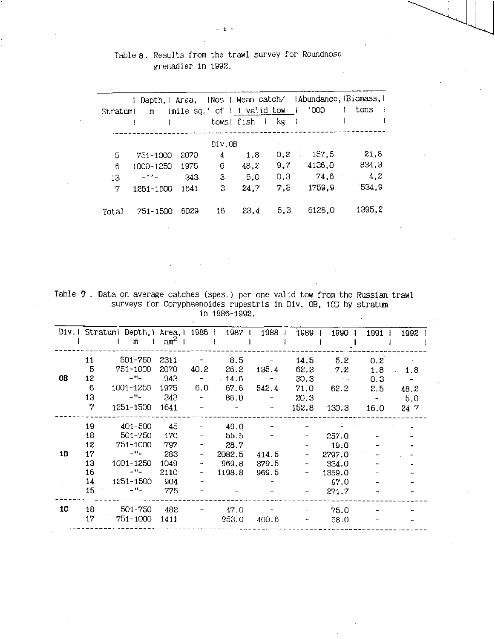## Table 8. Results from the trawl survey for Roundnose grenadier in 1992.

|          | Depth, Mrea, |      |             | INos I Mean catch/          |      | IAbundance, Biomass, I |        |
|----------|--------------|------|-------------|-----------------------------|------|------------------------|--------|
| Stratuml | m            |      |             | imile sq. dof i i valid tow |      | 000'                   | tons   |
|          |              |      | Itows! fish |                             | kg   |                        |        |
|          |              |      |             |                             |      |                        |        |
|          |              |      | Div.OB      |                             |      |                        |        |
| 5        | 751-1000     | 2070 | 4           | 1,8                         | 0, 2 | 157,5                  | 21,8   |
| 6        | 1000-1250    | 1975 | 6           | 48,2                        | 9,7  | 4136,0                 | 834,3  |
| 13       | ニナナニ         | 343  | 3           | 5.0                         | 0,3  | 74.6                   | 4,2    |
| 7        | 1251-1500    | 1641 | 3           | 24,7                        | 7,5  | 1759.9                 | 534.9  |
|          |              |      |             |                             |      |                        |        |
| Total    | 751-1500     | 6029 | 16          | 23.4                        | 5,3  | 6128,0                 | 1395,2 |

Table 9. Data on average catches (spes.) per one valid tow from the Russian trawl surveys for Coryphaenoides rupestris in Div. OB, 1CD by stratum in 1986-1992.

|    |     | Div. I Stratum! Depth, 1 Area, 1 1986 1 1987 1 |        |                          |        | 1988                            | 1989                     | 1990 l                   | 19911            | 1992                     |
|----|-----|------------------------------------------------|--------|--------------------------|--------|---------------------------------|--------------------------|--------------------------|------------------|--------------------------|
|    |     | $m \quad 1$                                    | $nm^2$ |                          |        |                                 |                          |                          |                  |                          |
|    | 11  | 501-750                                        | 2311   |                          | 8.5    |                                 | 14.5                     | 5.2                      | 0.2 <sub>0</sub> |                          |
|    | 5   | 751-1000                                       | 2070   | 40.2                     | 26.2   | 135.4                           | 62.3                     | 7.2                      | 1.8              | 1.8<br>$\sim 100$        |
| 0B | 12  | $ \mu$ $-$                                     | 943    | $\sim$ $ \sim$           | .14.6  | $\frac{1}{2}$ and $\frac{1}{2}$ | 30.3                     | $\sim$ 100 $-$ 100 $\mu$ | 0.3              | $\overline{\phantom{a}}$ |
|    | 6   | 1001-1250                                      | 1975   | 6.0                      | 67.6   | 542.4                           | 71.0                     | 62.2                     | 2.5              | 48.2                     |
|    | 13  | $ -$                                           | 343    | $\sim$ $-$               | 86.0   | $\overline{\phantom{a}}$        | 20.3                     | $\sim 100$ km s $^{-1}$  |                  | 5.0                      |
|    | 7   | 1251-1500                                      | 1641   | $\overline{\phantom{a}}$ |        | $\overline{\phantom{m}}$        | 152.8                    | 130.3                    | 16.0             | 24 7                     |
|    | 19  | 401-500                                        | - 45   | $\overline{\phantom{a}}$ | 49.0   |                                 |                          |                          |                  |                          |
|    | 18  | 501-750                                        | 170    |                          | 55.5   |                                 |                          | 257.0                    |                  |                          |
|    | 12  | 751-1000                                       | 797    |                          | 28.7   |                                 | $\overline{\phantom{a}}$ | 19.0                     |                  |                          |
| 1D | 17  | $\sim$ H $\sim$                                | 283    | $\overline{\phantom{a}}$ | 2082.5 | 414.5                           |                          | 2797.0                   |                  |                          |
|    | 13. | 1001-1250                                      | 1049   | $\blacksquare$           | 969.8  | 379.5                           |                          | 334.0                    |                  |                          |
|    | 16  | $-$ H $-$                                      | 2110   | $\blacksquare$           | 1198.8 | 969.5                           |                          | 1359.0                   |                  |                          |
|    | 14  | 1251-1500                                      | - 904  |                          |        |                                 |                          | 97.0                     |                  |                          |
|    | 15  | $-$ H <sub>m</sub>                             | 775    |                          |        |                                 |                          | 271.7                    |                  |                          |
| 1C | 18  | 501-750                                        | 482    | $\overline{\phantom{a}}$ | 47.0   |                                 |                          | 75.0                     |                  |                          |
|    | 17  | $751 - 1000$                                   | 1411   | $\overline{\phantom{a}}$ | 953.0  | 400.6                           |                          | 68.0                     |                  |                          |
|    |     |                                                |        |                          |        |                                 |                          |                          |                  |                          |

 $-6-$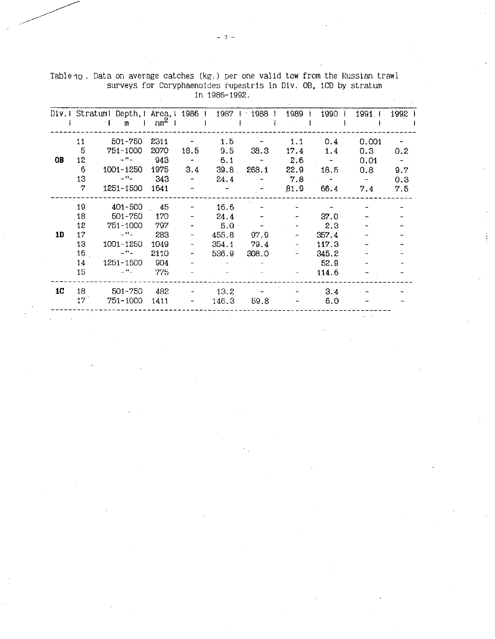|           |              | Div.I Stratuml Depth, 1 Area, 1 1986 1<br>$\mathbf{m}$<br>$\pm 1$ | $nm^2$ 1 |      | 1987 +           | ∴ 1988 ∣ | 1989 | 1990            | 1991           | 1992 |
|-----------|--------------|-------------------------------------------------------------------|----------|------|------------------|----------|------|-----------------|----------------|------|
|           | 11           | 501-750                                                           | 2311     |      | 1.5              |          | 1.1  | 0.4             | 0.001          |      |
|           | 5            | 751-1000                                                          | 2070     | 18.5 | 9.5              | 38.3     | 17.4 | 1.4             | 0.3            | 0.2  |
| <b>OB</b> | 12           | $\omega$ H $\omega$                                               | 943      |      | 6.1              |          | 2.6  | $\sim$ $-$      | 0.01           |      |
|           | 6            | 1001-1250                                                         | 1975     | 3.4  | 39.8             | 268.1    | 22.9 | 18.5            | 0.8            | 9.7  |
|           | 13           | $\equiv$ $\mathbf{0}$ $\equiv$                                    | 343      |      | 24.4             |          | 7.8  | $\frac{1}{2}$ . | $\blacksquare$ | 0.3  |
|           | 7            | 1251-1500                                                         | 1641     |      |                  |          | 81.9 | 66.4            | 7.4            | 7.5  |
|           | 19           | 401-500                                                           | 45       |      | 16.6             |          |      |                 |                |      |
|           | 18           | 501-750                                                           | 170      |      | 24.4             |          |      | 37.0            |                |      |
|           | 12           | 751-1000                                                          | 797      |      | 5.0 <sub>1</sub> |          |      | 2.3             |                |      |
| 1D        | 17           | $-$ H $-$                                                         | 283      |      | 455.8            | 97.9     |      | 357.4           |                |      |
|           | 13           | 1001-1250                                                         | 1049     |      | 354.1            | 79.4     |      | 117.3           |                |      |
|           | 16           | $  -$                                                             | 2110     |      | 536.9            | 308.0    |      | 345.2           |                |      |
|           | 14           | 1251-1500                                                         | 904      |      |                  |          |      | 52.9            |                |      |
|           | 15           | $\equiv$ H $\equiv$                                               | 775      |      |                  |          |      | 114.6           |                |      |
| 1C        | 18           | 501-750                                                           | 482      |      | 13.2             |          |      | 3.4             |                |      |
|           | $17^{\circ}$ | 751-1000                                                          | 1411     |      | 146.3            | 59.8     |      | 6.0             |                |      |
|           |              |                                                                   |          |      |                  |          |      |                 |                |      |

Table 10. Data on average catches (kg.) per one valid tow from the Russian trawl surveys for Coryphaenoides rupestris in Div. OB, 1CD by stratum in 1986-1992.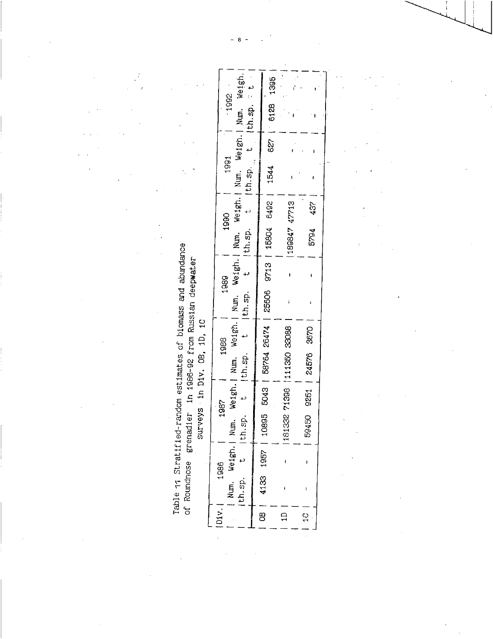Table 11 Stratified-random estimates of biomass and abundance<br>of Roundnose grenadier in 1986-92 from Russian deepwater<br>surveys ·in Div. OB, 1D, 1C

|                                                                                                                                                                                                                                |      | Num, Weigh.  Num, Weigh.  Num, Weigh.  Num, Weigh.  Num, Weigh.  Num, Weigh. <br>$-1992$ |  | $1544$ 627   6128 1395                             |                             |                         |
|--------------------------------------------------------------------------------------------------------------------------------------------------------------------------------------------------------------------------------|------|------------------------------------------------------------------------------------------|--|----------------------------------------------------|-----------------------------|-------------------------|
|                                                                                                                                                                                                                                |      | 1991                                                                                     |  |                                                    |                             |                         |
|                                                                                                                                                                                                                                |      |                                                                                          |  |                                                    |                             |                         |
| married and the contract of the same of the same of the same of the same of the same of the same of the same of the same of the same of the same of the same of the same of the same of the same of the same of the same of th | 1990 |                                                                                          |  |                                                    |                             | 437                     |
|                                                                                                                                                                                                                                |      |                                                                                          |  |                                                    | 189847 47713                | 5794                    |
|                                                                                                                                                                                                                                | 1989 | n.sp. t (th.sp. t (th.sp. t (th.sp. t (th.sp. t (th.sp. t + $\frac{1}{2}$                |  |                                                    | J                           |                         |
|                                                                                                                                                                                                                                |      |                                                                                          |  |                                                    |                             |                         |
|                                                                                                                                                                                                                                | 1988 |                                                                                          |  |                                                    |                             |                         |
|                                                                                                                                                                                                                                |      |                                                                                          |  | 10895 5043   58764 26474   25606 9713   15804 6492 | 181332 71398   111350 33088 | 59450 9251   24576 3670 |
|                                                                                                                                                                                                                                | 1987 |                                                                                          |  |                                                    |                             |                         |
|                                                                                                                                                                                                                                |      |                                                                                          |  |                                                    |                             |                         |
|                                                                                                                                                                                                                                | 1986 |                                                                                          |  |                                                    |                             |                         |
|                                                                                                                                                                                                                                |      | $\ln \text{sp.}$ t  t<br>Num. Weigh.                                                     |  | 4133 1957                                          |                             |                         |
|                                                                                                                                                                                                                                | Div. |                                                                                          |  | $\frac{1}{8}$                                      |                             | $\frac{1}{2}$           |

 $\theta$